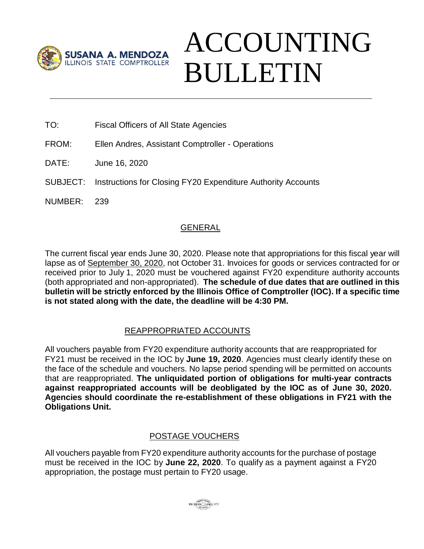

# ACCOUNTING BULLETIN

- TO: Fiscal Officers of All State Agencies
- FROM: Ellen Andres, Assistant Comptroller Operations
- DATE: June 16, 2020
- SUBJECT: Instructions for Closing FY20 Expenditure Authority Accounts
- NUMBER: 239

# GENERAL

The current fiscal year ends June 30, 2020. Please note that appropriations for this fiscal year will lapse as of September 30, 2020, not October 31. Invoices for goods or services contracted for or received prior to July 1, 2020 must be vouchered against FY20 expenditure authority accounts (both appropriated and non-appropriated). **The schedule of due dates that are outlined in this bulletin will be strictly enforced by the Illinois Office of Comptroller (IOC). If a specific time is not stated along with the date, the deadline will be 4:30 PM.** 

# REAPPROPRIATED ACCOUNTS

All vouchers payable from FY20 expenditure authority accounts that are reappropriated for FY21 must be received in the IOC by **June 19, 2020**. Agencies must clearly identify these on the face of the schedule and vouchers. No lapse period spending will be permitted on accounts that are reappropriated. **The unliquidated portion of obligations for multi-year contracts against reappropriated accounts will be deobligated by the IOC as of June 30, 2020. Agencies should coordinate the re-establishment of these obligations in FY21 with the Obligations Unit.**

# POSTAGE VOUCHERS

All vouchers payable from FY20 expenditure authority accounts for the purchase of postage must be received in the IOC by **June 22, 2020**. To qualify as a payment against a FY20 appropriation, the postage must pertain to FY20 usage.

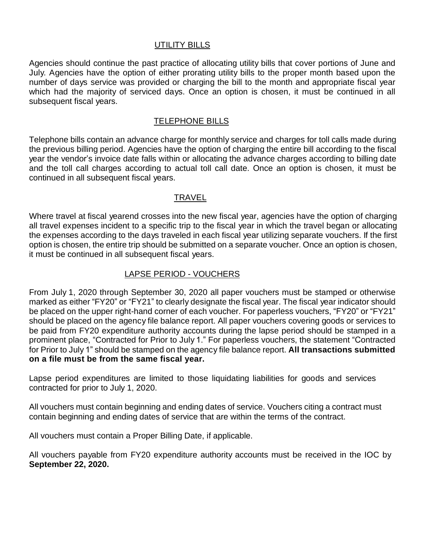# UTILITY BILLS

Agencies should continue the past practice of allocating utility bills that cover portions of June and July. Agencies have the option of either prorating utility bills to the proper month based upon the number of days service was provided or charging the bill to the month and appropriate fiscal year which had the majority of serviced days. Once an option is chosen, it must be continued in all subsequent fiscal years.

#### TELEPHONE BILLS

Telephone bills contain an advance charge for monthly service and charges for toll calls made during the previous billing period. Agencies have the option of charging the entire bill according to the fiscal year the vendor's invoice date falls within or allocating the advance charges according to billing date and the toll call charges according to actual toll call date. Once an option is chosen, it must be continued in all subsequent fiscal years.

#### TRAVEL

Where travel at fiscal yearend crosses into the new fiscal year, agencies have the option of charging all travel expenses incident to a specific trip to the fiscal year in which the travel began or allocating the expenses according to the days traveled in each fiscal year utilizing separate vouchers. If the first option is chosen, the entire trip should be submitted on a separate voucher. Once an option is chosen, it must be continued in all subsequent fiscal years.

## LAPSE PERIOD - VOUCHERS

From July 1, 2020 through September 30, 2020 all paper vouchers must be stamped or otherwise marked as either "FY20" or "FY21" to clearly designate the fiscal year. The fiscal year indicator should be placed on the upper right-hand corner of each voucher. For paperless vouchers, "FY20" or "FY21" should be placed on the agency file balance report. All paper vouchers covering goods or services to be paid from FY20 expenditure authority accounts during the lapse period should be stamped in a prominent place, "Contracted for Prior to July 1." For paperless vouchers, the statement "Contracted for Prior to July 1" should be stamped on the agency file balance report. **All transactions submitted on a file must be from the same fiscal year.** 

Lapse period expenditures are limited to those liquidating liabilities for goods and services contracted for prior to July 1, 2020.

All vouchers must contain beginning and ending dates of service. Vouchers citing a contract must contain beginning and ending dates of service that are within the terms of the contract.

All vouchers must contain a Proper Billing Date, if applicable.

All vouchers payable from FY20 expenditure authority accounts must be received in the IOC by **September 22, 2020.**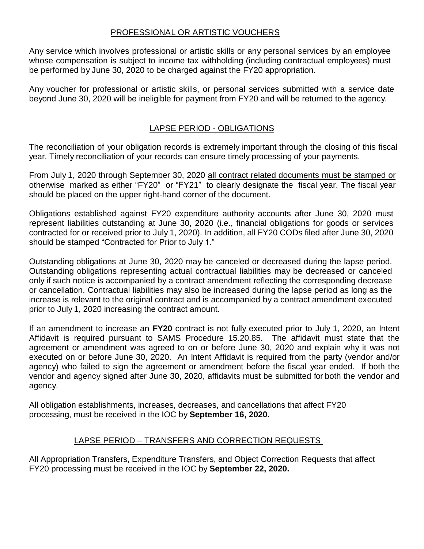#### PROFESSIONAL OR ARTISTIC VOUCHERS

Any service which involves professional or artistic skills or any personal services by an employee whose compensation is subject to income tax withholding (including contractual employees) must be performed by June 30, 2020 to be charged against the FY20 appropriation.

Any voucher for professional or artistic skills, or personal services submitted with a service date beyond June 30, 2020 will be ineligible for payment from FY20 and will be returned to the agency.

# LAPSE PERIOD - OBLIGATIONS

The reconciliation of your obligation records is extremely important through the closing of this fiscal year. Timely reconciliation of your records can ensure timely processing of your payments.

From July 1, 2020 through September 30, 2020 all contract related documents must be stamped or otherwise marked as either "FY20" or "FY21" to clearly designate the fiscal year. The fiscal year should be placed on the upper right-hand corner of the document.

Obligations established against FY20 expenditure authority accounts after June 30, 2020 must represent liabilities outstanding at June 30, 2020 (i.e., financial obligations for goods or services contracted for or received prior to July 1, 2020). In addition, all FY20 CODs filed after June 30, 2020 should be stamped "Contracted for Prior to July 1."

Outstanding obligations at June 30, 2020 may be canceled or decreased during the lapse period. Outstanding obligations representing actual contractual liabilities may be decreased or canceled only if such notice is accompanied by a contract amendment reflecting the corresponding decrease or cancellation. Contractual liabilities may also be increased during the lapse period as long as the increase is relevant to the original contract and is accompanied by a contract amendment executed prior to July 1, 2020 increasing the contract amount.

If an amendment to increase an **FY20** contract is not fully executed prior to July 1, 2020, an Intent Affidavit is required pursuant to SAMS Procedure 15.20.85. The affidavit must state that the agreement or amendment was agreed to on or before June 30, 2020 and explain why it was not executed on or before June 30, 2020. An Intent Affidavit is required from the party (vendor and/or agency) who failed to sign the agreement or amendment before the fiscal year ended. If both the vendor and agency signed after June 30, 2020, affidavits must be submitted for both the vendor and agency.

All obligation establishments, increases, decreases, and cancellations that affect FY20 processing, must be received in the IOC by **September 16, 2020.**

#### LAPSE PERIOD – TRANSFERS AND CORRECTION REQUESTS

All Appropriation Transfers, Expenditure Transfers, and Object Correction Requests that affect FY20 processing must be received in the IOC by **September 22, 2020.**